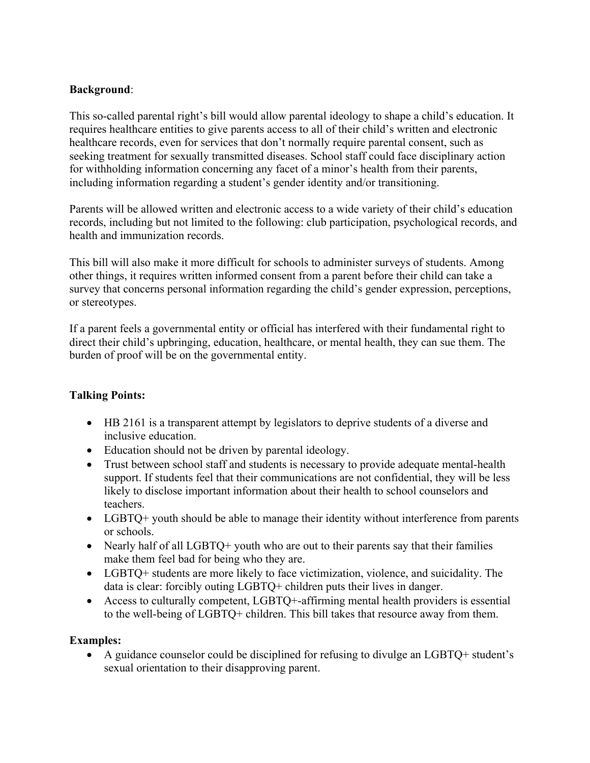## **Background**:

This so-called parental right's bill would allow parental ideology to shape a child's education. It requires healthcare entities to give parents access to all of their child's written and electronic healthcare records, even for services that don't normally require parental consent, such as seeking treatment for sexually transmitted diseases. School staff could face disciplinary action for withholding information concerning any facet of a minor's health from their parents, including information regarding a student's gender identity and/or transitioning.

Parents will be allowed written and electronic access to a wide variety of their child's education records, including but not limited to the following: club participation, psychological records, and health and immunization records.

This bill will also make it more difficult for schools to administer surveys of students. Among other things, it requires written informed consent from a parent before their child can take a survey that concerns personal information regarding the child's gender expression, perceptions, or stereotypes.

If a parent feels a governmental entity or official has interfered with their fundamental right to direct their child's upbringing, education, healthcare, or mental health, they can sue them. The burden of proof will be on the governmental entity.

## **Talking Points:**

- HB 2161 is a transparent attempt by legislators to deprive students of a diverse and inclusive education.
- Education should not be driven by parental ideology.
- Trust between school staff and students is necessary to provide adequate mental-health support. If students feel that their communications are not confidential, they will be less likely to disclose important information about their health to school counselors and teachers.
- LGBTQ+ youth should be able to manage their identity without interference from parents or schools.
- Nearly half of all LGBTQ+ youth who are out to their parents say that their families make them feel bad for being who they are.
- LGBTQ+ students are more likely to face victimization, violence, and suicidality. The data is clear: forcibly outing LGBTQ+ children puts their lives in danger.
- Access to culturally competent, LGBTQ+-affirming mental health providers is essential to the well-being of LGBTQ+ children. This bill takes that resource away from them.

## **Examples:**

• A guidance counselor could be disciplined for refusing to divulge an LGBTQ+ student's sexual orientation to their disapproving parent.